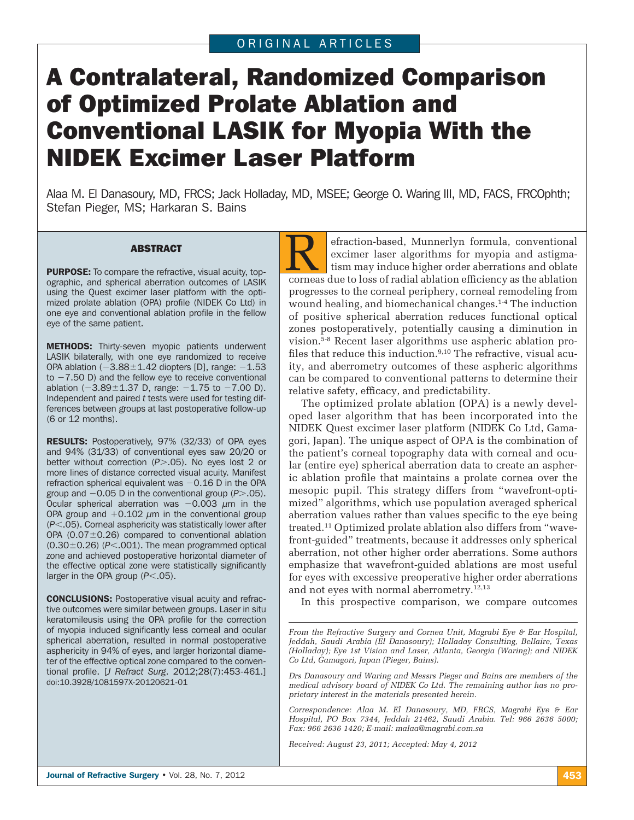# A Contralateral, Randomized Comparison of Optimized Prolate Ablation and Conventional LASIK for Myopia With the NIDEK Excimer Laser Platform

Alaa M. El Danasoury, MD, FRCS; Jack Holladay, MD, MSEE; George O. Waring III, MD, FACS, FRCOphth; Stefan Pieger, MS; Harkaran S. Bains

**ABSTRACT<br>PURPOSE:** To compare the refractive, visual acuity, top-<br>persphise and spherical aberration outcomes of LASIK ographic, and spherical aberration outcomes of LASIK using the Quest excimer laser platform with the optimized prolate ablation (OPA) profile (NIDEK Co Ltd) in one eye and conventional ablation profile in the fellow eye of the same patient.

METHODS: Thirty-seven myopic patients underwent LASIK bilaterally, with one eye randomized to receive OPA ablation  $(-3.88 \pm 1.42)$  diopters [D], range:  $-1.53$  $to -7.50$  D) and the fellow eye to receive conventional ablation  $(-3.89 \pm 1.37)$  D, range:  $-1.75$  to  $-7.00$  D). Independent and paired *t* tests were used for testing differences between groups at last postoperative follow-up (6 or 12 months).

RESULTS: Postoperatively, 97% (32/33) of OPA eyes and 94% (31/33) of conventional eyes saw 20/20 or better without correction (P>.05). No eyes lost 2 or more lines of distance corrected visual acuity. Manifest refraction spherical equivalent was  $-0.16$  D in the OPA group and -0.05 D in the conventional group (*P*.05). Ocular spherical aberration was  $-0.003 \mu m$  in the OPA group and  $+0.102 \mu m$  in the conventional group (*P*.05). Corneal asphericity was statistically lower after OPA  $(0.07\pm0.26)$  compared to conventional ablation  $(0.30\pm0.26)$  ( $P$ <.001). The mean programmed optical zone and achieved postoperative horizontal diameter of the effective optical zone were statistically significantly larger in the OPA group  $(P<.05)$ .

CONCLUSIONS: Postoperative visual acuity and refractive outcomes were similar between groups. Laser in situ keratomileusis using the OPA profile for the correction of myopia induced significantly less corneal and ocular spherical aberration, resulted in normal postoperative asphericity in 94% of eyes, and larger horizontal diameter of the effective optical zone compared to the conventional profile. [*J Refract Surg.* 2012;28(7):453-461.] doi:10.3928/1081597X-20120621-01

efraction-based, Munnerlyn formula, conventional excimer laser algorithms for myopia and astigmatism may induce higher order aberrations and oblate corneas due to loss of radial ablation efficiency as the ablation progresses to the corneal periphery, corneal remodeling from wound healing, and biomechanical changes.1-4 The induction of positive spherical aberration reduces functional optical zones postoperatively, potentially causing a diminution in vision.5-8 Recent laser algorithms use aspheric ablation profiles that reduce this induction.<sup>9,10</sup> The refractive, visual acuity, and aberrometry outcomes of these aspheric algorithms can be compared to conventional patterns to determine their relative safety, efficacy, and predictability.

The optimized prolate ablation (OPA) is a newly developed laser algorithm that has been incorporated into the NIDEK Quest excimer laser platform (NIDEK Co Ltd, Gamagori, Japan). The unique aspect of OPA is the combination of the patient's corneal topography data with corneal and ocular (entire eye) spherical aberration data to create an aspheric ablation profile that maintains a prolate cornea over the mesopic pupil. This strategy differs from "wavefront-optimized" algorithms, which use population averaged spherical aberration values rather than values specific to the eye being treated.11 Optimized prolate ablation also differs from "wavefront-guided" treatments, because it addresses only spherical aberration, not other higher order aberrations. Some authors emphasize that wavefront-guided ablations are most useful for eyes with excessive preoperative higher order aberrations and not eyes with normal aberrometry.<sup>12,13</sup>

In this prospective comparison, we compare outcomes

*Drs Danasoury and Waring and Messrs Pieger and Bains are members of the medical advisory board of NIDEK Co Ltd. The remaining author has no proprietary interest in the materials presented herein.*

*Correspondence: Alaa M. El Danasoury, MD, FRCS, Magrabi Eye & Ear Hospital, PO Box 7344, Jeddah 21462, Saudi Arabia. Tel: 966 2636 5000; Fax: 966 2636 1420; E-mail: malaa@magrabi.com.sa*

*Received: August 23, 2011; Accepted: May 4, 2012*

*From the Refractive Surgery and Cornea Unit, Magrabi Eye & Ear Hospital, Jeddah, Saudi Arabia (El Danasoury); Holladay Consulting, Bellaire, Texas (Holladay); Eye 1st Vision and Laser, Atlanta, Georgia (Waring); and NIDEK Co Ltd, Gamagori, Japan (Pieger, Bains).*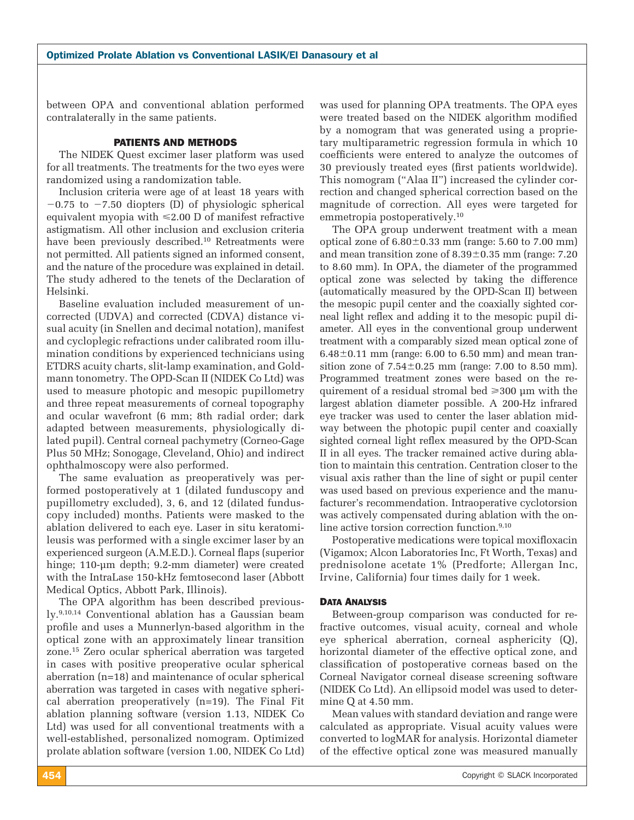between OPA and conventional ablation performed contralaterally in the same patients.

# PATIENTS AND METHODS

The NIDEK Quest excimer laser platform was used for all treatments. The treatments for the two eyes were randomized using a randomization table.

Inclusion criteria were age of at least 18 years with  $-0.75$  to  $-7.50$  diopters (D) of physiologic spherical equivalent myopia with  $\leq 2.00$  D of manifest refractive astigmatism. All other inclusion and exclusion criteria have been previously described.<sup>10</sup> Retreatments were not permitted. All patients signed an informed consent, and the nature of the procedure was explained in detail. The study adhered to the tenets of the Declaration of Helsinki.

Baseline evaluation included measurement of uncorrected (UDVA) and corrected (CDVA) distance visual acuity (in Snellen and decimal notation), manifest and cycloplegic refractions under calibrated room illumination conditions by experienced technicians using ETDRS acuity charts, slit-lamp examination, and Goldmann tonometry. The OPD-Scan II (NIDEK Co Ltd) was used to measure photopic and mesopic pupillometry and three repeat measurements of corneal topography and ocular wavefront (6 mm; 8th radial order; dark adapted between measurements, physiologically dilated pupil). Central corneal pachymetry (Corneo-Gage Plus 50 MHz; Sonogage, Cleveland, Ohio) and indirect ophthalmoscopy were also performed.

The same evaluation as preoperatively was performed postoperatively at 1 (dilated funduscopy and pupillometry excluded), 3, 6, and 12 (dilated funduscopy included) months. Patients were masked to the ablation delivered to each eye. Laser in situ keratomileusis was performed with a single excimer laser by an experienced surgeon (A.M.E.D.). Corneal flaps (superior hinge; 110-μm depth; 9.2-mm diameter) were created with the IntraLase 150-kHz femtosecond laser (Abbott Medical Optics, Abbott Park, Illinois).

The OPA algorithm has been described previously.9,10,14 Conventional ablation has a Gaussian beam profile and uses a Munnerlyn-based algorithm in the optical zone with an approximately linear transition zone.15 Zero ocular spherical aberration was targeted in cases with positive preoperative ocular spherical aberration (n=18) and maintenance of ocular spherical aberration was targeted in cases with negative spherical aberration preoperatively (n=19). The Final Fit ablation planning software (version 1.13, NIDEK Co Ltd) was used for all conventional treatments with a well-established, personalized nomogram. Optimized prolate ablation software (version 1.00, NIDEK Co Ltd)

was used for planning OPA treatments. The OPA eyes were treated based on the NIDEK algorithm modified by a nomogram that was generated using a proprietary multiparametric regression formula in which 10 coefficients were entered to analyze the outcomes of 30 previously treated eyes (first patients worldwide). This nomogram ("Alaa II") increased the cylinder correction and changed spherical correction based on the magnitude of correction. All eyes were targeted for emmetropia postoperatively.10

The OPA group underwent treatment with a mean optical zone of  $6.80 \pm 0.33$  mm (range: 5.60 to 7.00 mm) and mean transition zone of  $8.39\pm0.35$  mm (range: 7.20) to 8.60 mm). In OPA, the diameter of the programmed optical zone was selected by taking the difference (automatically measured by the OPD-Scan II) between the mesopic pupil center and the coaxially sighted corneal light reflex and adding it to the mesopic pupil diameter. All eyes in the conventional group underwent treatment with a comparably sized mean optical zone of  $6.48\pm0.11$  mm (range: 6.00 to 6.50 mm) and mean transition zone of  $7.54 \pm 0.25$  mm (range: 7.00 to 8.50 mm). Programmed treatment zones were based on the requirement of a residual stromal bed  $\geq 300$  μm with the largest ablation diameter possible. A 200-Hz infrared eye tracker was used to center the laser ablation midway between the photopic pupil center and coaxially sighted corneal light reflex measured by the OPD-Scan II in all eyes. The tracker remained active during ablation to maintain this centration. Centration closer to the visual axis rather than the line of sight or pupil center was used based on previous experience and the manufacturer's recommendation. Intraoperative cyclotorsion was actively compensated during ablation with the online active torsion correction function.<sup>9,10</sup>

Postoperative medications were topical moxifloxacin (Vigamox; Alcon Laboratories Inc, Ft Worth, Texas) and prednisolone acetate 1% (Predforte; Allergan Inc, Irvine, California) four times daily for 1 week.

#### DATA ANALYSIS

Between-group comparison was conducted for refractive outcomes, visual acuity, corneal and whole eye spherical aberration, corneal asphericity (Q), horizontal diameter of the effective optical zone, and classification of postoperative corneas based on the Corneal Navigator corneal disease screening software (NIDEK Co Ltd). An ellipsoid model was used to determine Q at 4.50 mm.

Mean values with standard deviation and range were calculated as appropriate. Visual acuity values were converted to logMAR for analysis. Horizontal diameter of the effective optical zone was measured manually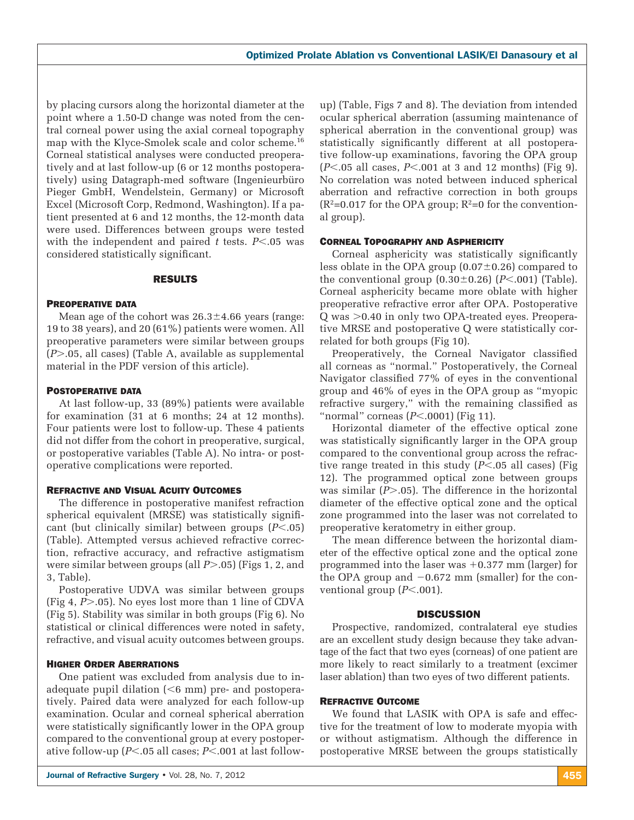by placing cursors along the horizontal diameter at the point where a 1.50-D change was noted from the central corneal power using the axial corneal topography map with the Klyce-Smolek scale and color scheme.16 Corneal statistical analyses were conducted preoperatively and at last follow-up (6 or 12 months postoperatively) using Datagraph-med software (Ingenieurbüro Pieger GmbH, Wendelstein, Germany) or Microsoft Excel (Microsoft Corp, Redmond, Washington). If a patient presented at 6 and 12 months, the 12-month data were used. Differences between groups were tested with the independent and paired  $t$  tests.  $P<.05$  was considered statistically significant.

#### RESULTS

#### PREOPERATIVE DATA

Mean age of the cohort was  $26.3 \pm 4.66$  years (range: 19 to 38 years), and 20 (61%) patients were women. All preoperative parameters were similar between groups (*P*.05, all cases) (Table A, available as supplemental material in the PDF version of this article).

#### POSTOPERATIVE DATA

At last follow-up, 33 (89%) patients were available for examination (31 at 6 months; 24 at 12 months). Four patients were lost to follow-up. These 4 patients did not differ from the cohort in preoperative, surgical, or postoperative variables (Table A). No intra- or postoperative complications were reported.

### REFRACTIVE AND VISUAL ACUITY OUTCOMES

The difference in postoperative manifest refraction spherical equivalent (MRSE) was statistically significant (but clinically similar) between groups  $(P<.05)$ (Table). Attempted versus achieved refractive correction, refractive accuracy, and refractive astigmatism were similar between groups (all *P* $> 0.05$ ) (Figs 1, 2, and 3, Table).

Postoperative UDVA was similar between groups (Fig 4,  $P > 05$ ). No eyes lost more than 1 line of CDVA (Fig 5). Stability was similar in both groups (Fig 6). No statistical or clinical differences were noted in safety, refractive, and visual acuity outcomes between groups.

#### HIGHER ORDER ABERRATIONS

One patient was excluded from analysis due to inadequate pupil dilation  $( $6 \text{ mm}$ )$  pre- and postoperatively. Paired data were analyzed for each follow-up examination. Ocular and corneal spherical aberration were statistically significantly lower in the OPA group compared to the conventional group at every postoperative follow-up ( $P$ <.05 all cases;  $P$ <.001 at last follow-

up) (Table, Figs 7 and 8). The deviation from intended ocular spherical aberration (assuming maintenance of spherical aberration in the conventional group) was statistically significantly different at all postoperative follow-up examinations, favoring the OPA group  $(P<.05$  all cases,  $P<.001$  at 3 and 12 months) (Fig 9). No correlation was noted between induced spherical aberration and refractive correction in both groups  $(R^2=0.017$  for the OPA group;  $R^2=0$  for the conventional group).

#### CORNEAL TOPOGRAPHY AND ASPHERICITY

Corneal asphericity was statistically significantly less oblate in the OPA group  $(0.07\pm0.26)$  compared to the conventional group  $(0.30 \pm 0.26)$   $(P<.001)$  (Table). Corneal asphericity became more oblate with higher preoperative refractive error after OPA. Postoperative  $Q$  was  $> 0.40$  in only two OPA-treated eyes. Preoperative MRSE and postoperative Q were statistically correlated for both groups (Fig 10).

Preoperatively, the Corneal Navigator classified all corneas as "normal." Postoperatively, the Corneal Navigator classified 77% of eyes in the conventional group and 46% of eyes in the OPA group as "myopic refractive surgery," with the remaining classified as "normal" corneas (*P*<.0001) (Fig 11).

Horizontal diameter of the effective optical zone was statistically significantly larger in the OPA group compared to the conventional group across the refractive range treated in this study (*P*<.05 all cases) (Fig 12). The programmed optical zone between groups was similar  $(P > .05)$ . The difference in the horizontal diameter of the effective optical zone and the optical zone programmed into the laser was not correlated to preoperative keratometry in either group.

The mean difference between the horizontal diameter of the effective optical zone and the optical zone programmed into the laser was  $+0.377$  mm (larger) for the OPA group and  $-0.672$  mm (smaller) for the conventional group ( $P$ <.001).

#### **DISCUSSION**

Prospective, randomized, contralateral eye studies are an excellent study design because they take advantage of the fact that two eyes (corneas) of one patient are more likely to react similarly to a treatment (excimer laser ablation) than two eyes of two different patients.

# REFRACTIVE OUTCOME

We found that LASIK with OPA is safe and effective for the treatment of low to moderate myopia with or without astigmatism. Although the difference in postoperative MRSE between the groups statistically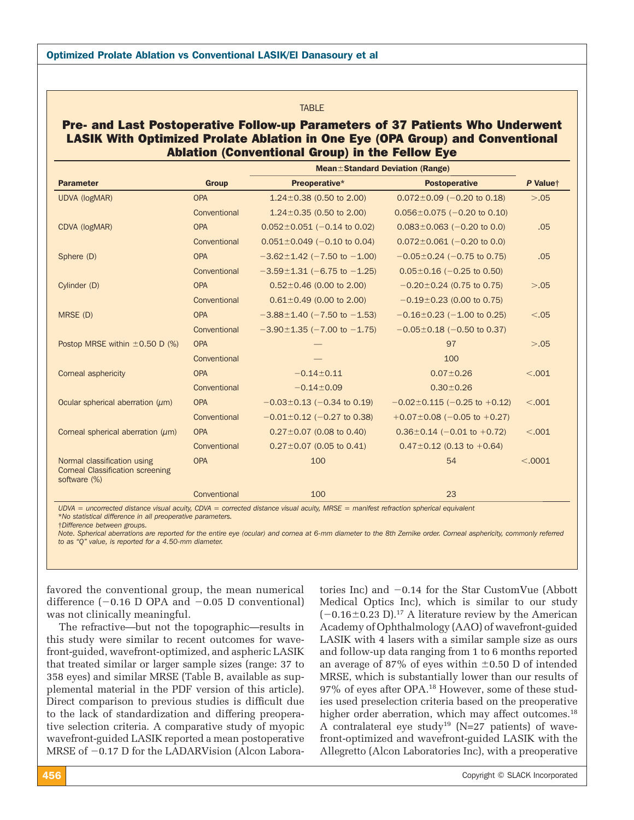#### **TARIF**

# Pre- and Last Postoperative Follow-up Parameters of 37 Patients Who Underwent LASIK With Optimized Prolate Ablation in One Eye (OPA Group) and Conventional Ablation (Conventional Group) in the Fellow Eye

|                                                                                        |              | <b>Mean</b> ±Standard Deviation (Range) |                                    |          |
|----------------------------------------------------------------------------------------|--------------|-----------------------------------------|------------------------------------|----------|
| <b>Parameter</b>                                                                       | <b>Group</b> | Preoperative*                           | <b>Postoperative</b>               | P Valuet |
| <b>UDVA (logMAR)</b>                                                                   | <b>OPA</b>   | $1.24 \pm 0.38$ (0.50 to 2.00)          | $0.072 \pm 0.09$ (-0.20 to 0.18)   | > 0.05   |
|                                                                                        | Conventional | $1.24 \pm 0.35$ (0.50 to 2.00)          | $0.056 \pm 0.075$ (-0.20 to 0.10)  |          |
| CDVA (logMAR)                                                                          | <b>OPA</b>   | $0.052 \pm 0.051$ (-0.14 to 0.02)       | $0.083 \pm 0.063$ (-0.20 to 0.0)   | .05      |
|                                                                                        | Conventional | $0.051 \pm 0.049$ (-0.10 to 0.04)       | $0.072 \pm 0.061$ (-0.20 to 0.0)   |          |
| Sphere (D)                                                                             | <b>OPA</b>   | $-3.62 \pm 1.42$ (-7.50 to -1.00)       | $-0.05 \pm 0.24$ (-0.75 to 0.75)   | .05      |
|                                                                                        | Conventional | $-3.59 \pm 1.31$ (-6.75 to -1.25)       | $0.05 \pm 0.16$ (-0.25 to 0.50)    |          |
| Cylinder (D)                                                                           | <b>OPA</b>   | $0.52 \pm 0.46$ (0.00 to 2.00)          | $-0.20 \pm 0.24$ (0.75 to 0.75)    | > 0.05   |
|                                                                                        | Conventional | $0.61 \pm 0.49$ (0.00 to 2.00)          | $-0.19\pm0.23$ (0.00 to 0.75)      |          |
| MRSE (D)                                                                               | <b>OPA</b>   | $-3.88 \pm 1.40$ (-7.50 to -1.53)       | $-0.16 \pm 0.23$ (-1.00 to 0.25)   | < 0.05   |
|                                                                                        | Conventional | $-3.90 \pm 1.35$ (-7.00 to -1.75)       | $-0.05 \pm 0.18$ (-0.50 to 0.37)   |          |
| Postop MRSE within $\pm 0.50$ D (%)                                                    | <b>OPA</b>   |                                         | 97                                 | > 0.05   |
|                                                                                        | Conventional |                                         | 100                                |          |
| Corneal asphericity                                                                    | <b>OPA</b>   | $-0.14 \pm 0.11$                        | $0.07 \pm 0.26$                    | < .001   |
|                                                                                        | Conventional | $-0.14 \pm 0.09$                        | $0.30 \pm 0.26$                    |          |
| Ocular spherical aberration $(\mu m)$                                                  | <b>OPA</b>   | $-0.03 \pm 0.13$ (-0.34 to 0.19)        | $-0.02 \pm 0.115$ (-0.25 to +0.12) | < 0.001  |
|                                                                                        | Conventional | $-0.01 \pm 0.12$ (-0.27 to 0.38)        | $+0.07 \pm 0.08$ (-0.05 to +0.27)  |          |
| Corneal spherical aberration $(\mu m)$                                                 | <b>OPA</b>   | $0.27 \pm 0.07$ (0.08 to 0.40)          | $0.36 \pm 0.14$ (-0.01 to +0.72)   | < .001   |
|                                                                                        | Conventional | $0.27 \pm 0.07$ (0.05 to 0.41)          | $0.47 \pm 0.12$ (0.13 to +0.64)    |          |
| Normal classification using<br><b>Corneal Classification screening</b><br>software (%) | <b>OPA</b>   | 100                                     | 54                                 | < .0001  |
|                                                                                        | Conventional | 100                                     | 23                                 |          |

*UDVA = uncorrected distance visual acuity, CDVA = corrected distance visual acuity, MRSE = manifest refraction spherical equivalent* \**No statistical difference in all preoperative parameters.*

†*Difference between groups.*

*Note. Spherical aberrations are reported for the entire eye (ocular) and cornea at 6-mm diameter to the 8th Zernike order. Corneal asphericity, commonly referred to as "Q" value, is reported for a 4.50-mm diameter.* 

favored the conventional group, the mean numerical difference  $(-0.16 \text{ D } \text{OPA} \text{ and } -0.05 \text{ D} \text{ conventional})$ was not clinically meaningful.

The refractive—but not the topographic—results in this study were similar to recent outcomes for wavefront-guided, wavefront-optimized, and aspheric LASIK that treated similar or larger sample sizes (range: 37 to 358 eyes) and similar MRSE (Table B, available as supplemental material in the PDF version of this article). Direct comparison to previous studies is difficult due to the lack of standardization and differing preoperative selection criteria. A comparative study of myopic wavefront-guided LASIK reported a mean postoperative MRSE of -0.17 D for the LADARVision (Alcon Labora-

tories Inc) and -0.14 for the Star CustomVue (Abbott Medical Optics Inc), which is similar to our study  $(-0.16 \pm 0.23 \text{ D})$ .<sup>17</sup> A literature review by the American Academy of Ophthalmology (AAO) of wavefront-guided LASIK with 4 lasers with a similar sample size as ours and follow-up data ranging from 1 to 6 months reported an average of 87% of eyes within  $\pm 0.50$  D of intended MRSE, which is substantially lower than our results of 97% of eyes after OPA.18 However, some of these studies used preselection criteria based on the preoperative higher order aberration, which may affect outcomes.<sup>18</sup> A contralateral eye study<sup>19</sup> (N=27 patients) of wavefront-optimized and wavefront-guided LASIK with the Allegretto (Alcon Laboratories Inc), with a preoperative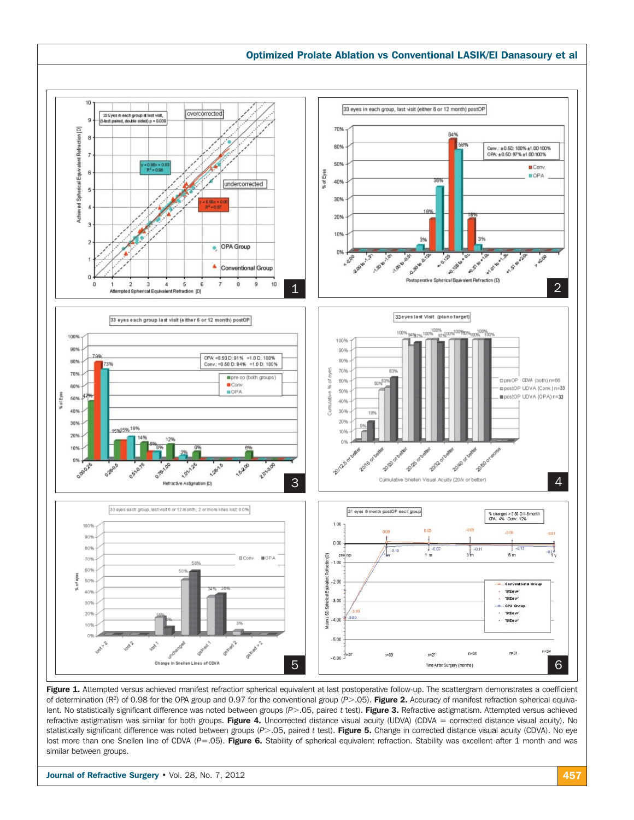

Figure 1. Attempted versus achieved manifest refraction spherical equivalent at last postoperative follow-up. The scattergram demonstrates a coefficient of determination (R<sup>2</sup>) of 0.98 for the OPA group and 0.97 for the conventional group (P>.05). Figure 2. Accuracy of manifest refraction spherical equivalent. No statistically significant difference was noted between groups (P>.05, paired t test). Figure 3. Refractive astigmatism. Attempted versus achieved refractive astigmatism was similar for both groups. Figure 4. Uncorrected distance visual acuity (UDVA) (CDVA = corrected distance visual acuity). No statistically significant difference was noted between groups (P>.05, paired t test). Figure 5. Change in corrected distance visual acuity (CDVA). No eye lost more than one Snellen line of CDVA (P=.05). Figure 6. Stability of spherical equivalent refraction. Stability was excellent after 1 month and was similar between groups.

**Journal of Refractive Surgery •** Vol. 28, No. 7, 2012 457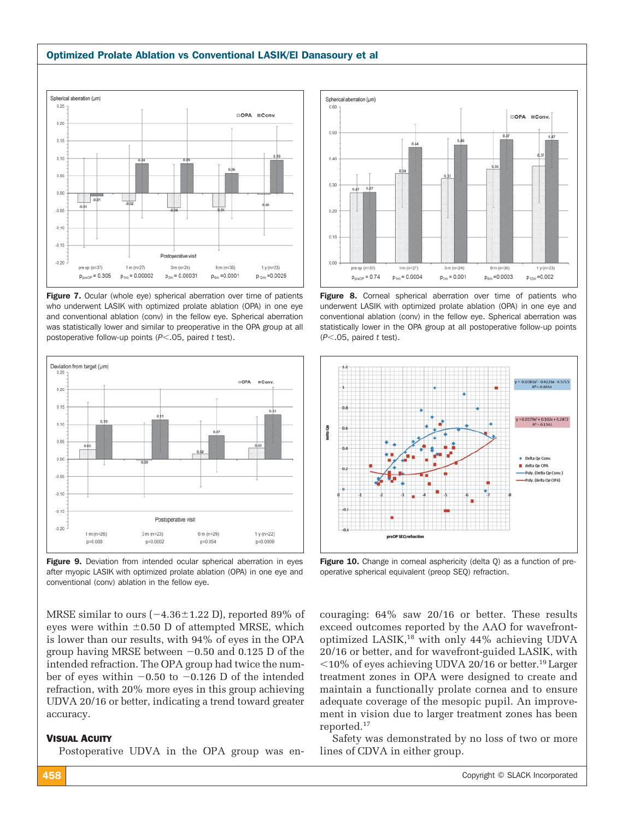#### Optimized Prolate Ablation vs Conventional LASIK/El Danasoury et al



**Figure 7.** Ocular (whole eye) spherical aberration over time of patients who underwent LASIK with optimized prolate ablation (OPA) in one eye and conventional ablation (conv) in the fellow eye. Spherical aberration was statistically lower and similar to preoperative in the OPA group at all postoperative follow-up points (P<.05, paired *t* test).



Figure 9. Deviation from intended ocular spherical aberration in eyes after myopic LASIK with optimized prolate ablation (OPA) in one eye and conventional (conv) ablation in the fellow eye.

MRSE similar to ours ( $-4.36 \pm 1.22$  D), reported 89% of eyes were within  $\pm 0.50$  D of attempted MRSE, which is lower than our results, with 94% of eyes in the OPA group having MRSE between  $-0.50$  and 0.125 D of the intended refraction. The OPA group had twice the number of eyes within  $-0.50$  to  $-0.126$  D of the intended refraction, with 20% more eyes in this group achieving UDVA 20/16 or better, indicating a trend toward greater accuracy.

#### VISUAL ACUITY

Postoperative UDVA in the OPA group was en-



**Figure 8.** Corneal spherical aberration over time of patients who underwent LASIK with optimized prolate ablation (OPA) in one eye and conventional ablation (conv) in the fellow eye. Spherical aberration was statistically lower in the OPA group at all postoperative follow-up points (*P*.05, paired *t* test).



Figure 10. Change in corneal asphericity (delta Q) as a function of preoperative spherical equivalent (preop SEQ) refraction.

couraging: 64% saw 20/16 or better. These results exceed outcomes reported by the AAO for wavefrontoptimized LASIK,18 with only 44% achieving UDVA 20/16 or better, and for wavefront-guided LASIK, with  $10\%$  of eyes achieving UDVA 20/16 or better.<sup>19</sup> Larger treatment zones in OPA were designed to create and maintain a functionally prolate cornea and to ensure adequate coverage of the mesopic pupil. An improvement in vision due to larger treatment zones has been reported.17

Safety was demonstrated by no loss of two or more lines of CDVA in either group.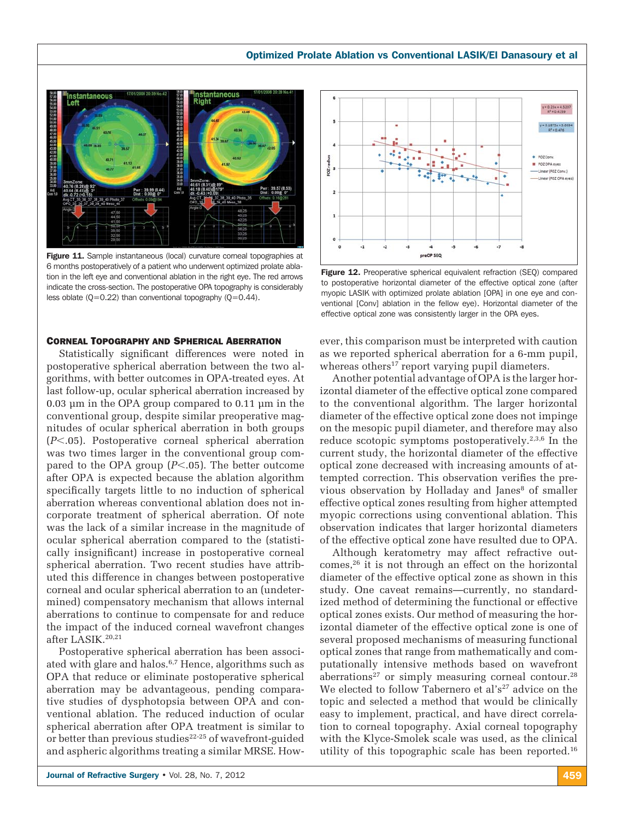

Figure 11. Sample instantaneous (local) curvature corneal topographies at 6 months postoperatively of a patient who underwent optimized prolate ablation in the left eye and conventional ablation in the right eye. The red arrows indicate the cross-section. The postoperative OPA topography is considerably less oblate  $(Q=0.22)$  than conventional topography  $(Q=0.44)$ .

### CORNEAL TOPOGRAPHY AND SPHERICAL ABERRATION

Statistically significant differences were noted in postoperative spherical aberration between the two algorithms, with better outcomes in OPA-treated eyes. At last follow-up, ocular spherical aberration increased by 0.03 μm in the OPA group compared to 0.11 μm in the conventional group, despite similar preoperative magnitudes of ocular spherical aberration in both groups (P<.05). Postoperative corneal spherical aberration was two times larger in the conventional group compared to the OPA group  $(P<.05)$ . The better outcome after OPA is expected because the ablation algorithm specifically targets little to no induction of spherical aberration whereas conventional ablation does not incorporate treatment of spherical aberration. Of note was the lack of a similar increase in the magnitude of ocular spherical aberration compared to the (statistically insignificant) increase in postoperative corneal spherical aberration. Two recent studies have attributed this difference in changes between postoperative corneal and ocular spherical aberration to an (undetermined) compensatory mechanism that allows internal aberrations to continue to compensate for and reduce the impact of the induced corneal wavefront changes after LASIK.20,21

Postoperative spherical aberration has been associated with glare and halos.<sup>6,7</sup> Hence, algorithms such as OPA that reduce or eliminate postoperative spherical aberration may be advantageous, pending comparative studies of dysphotopsia between OPA and conventional ablation. The reduced induction of ocular spherical aberration after OPA treatment is similar to or better than previous studies<sup>22-25</sup> of wavefront-guided and aspheric algorithms treating a similar MRSE. How-



Figure 12. Preoperative spherical equivalent refraction (SEQ) compared to postoperative horizontal diameter of the effective optical zone (after myopic LASIK with optimized prolate ablation [OPA] in one eye and conventional [Conv] ablation in the fellow eye). Horizontal diameter of the effective optical zone was consistently larger in the OPA eyes.

ever, this comparison must be interpreted with caution as we reported spherical aberration for a 6-mm pupil, whereas others<sup>17</sup> report varying pupil diameters.

Another potential advantage of OPA is the larger horizontal diameter of the effective optical zone compared to the conventional algorithm. The larger horizontal diameter of the effective optical zone does not impinge on the mesopic pupil diameter, and therefore may also reduce scotopic symptoms postoperatively.2,3,6 In the current study, the horizontal diameter of the effective optical zone decreased with increasing amounts of attempted correction. This observation verifies the previous observation by Holladay and Janes<sup>8</sup> of smaller effective optical zones resulting from higher attempted myopic corrections using conventional ablation. This observation indicates that larger horizontal diameters of the effective optical zone have resulted due to OPA.

Although keratometry may affect refractive outcomes,26 it is not through an effect on the horizontal diameter of the effective optical zone as shown in this study. One caveat remains—currently, no standardized method of determining the functional or effective optical zones exists. Our method of measuring the horizontal diameter of the effective optical zone is one of several proposed mechanisms of measuring functional optical zones that range from mathematically and computationally intensive methods based on wavefront aberrations<sup>27</sup> or simply measuring corneal contour.<sup>28</sup> We elected to follow Tabernero et al's<sup>27</sup> advice on the topic and selected a method that would be clinically easy to implement, practical, and have direct correlation to corneal topography. Axial corneal topography with the Klyce-Smolek scale was used, as the clinical utility of this topographic scale has been reported.16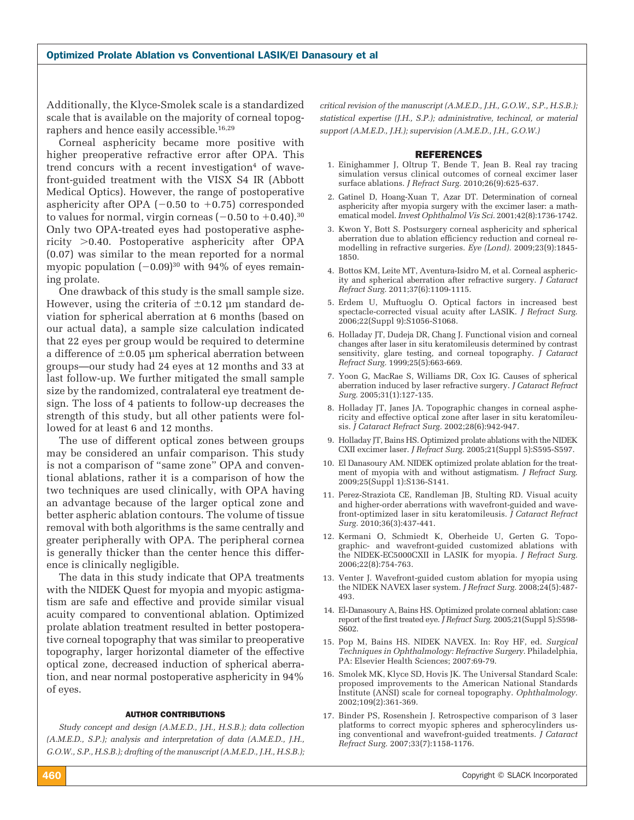Additionally, the Klyce-Smolek scale is a standardized scale that is available on the majority of corneal topographers and hence easily accessible.<sup>16,29</sup>

Corneal asphericity became more positive with higher preoperative refractive error after OPA. This trend concurs with a recent investigation<sup>4</sup> of wavefront-guided treatment with the VISX S4 IR (Abbott Medical Optics). However, the range of postoperative asphericity after OPA  $(-0.50 \text{ to } +0.75)$  corresponded to values for normal, virgin corneas ( $-0.50$  to  $+0.40$ ). $^{30}$ Only two OPA-treated eyes had postoperative asphericity  $>0.40$ . Postoperative asphericity after OPA (0.07) was similar to the mean reported for a normal myopic population  $(-0.09)^{30}$  with 94% of eyes remaining prolate.

One drawback of this study is the small sample size. However, using the criteria of  $\pm 0.12$  µm standard deviation for spherical aberration at 6 months (based on our actual data), a sample size calculation indicated that 22 eyes per group would be required to determine a difference of  $\pm 0.05$  μm spherical aberration between groups—our study had 24 eyes at 12 months and 33 at last follow-up. We further mitigated the small sample size by the randomized, contralateral eye treatment design. The loss of 4 patients to follow-up decreases the strength of this study, but all other patients were followed for at least 6 and 12 months.

The use of different optical zones between groups may be considered an unfair comparison. This study is not a comparison of "same zone" OPA and conventional ablations, rather it is a comparison of how the two techniques are used clinically, with OPA having an advantage because of the larger optical zone and better aspheric ablation contours. The volume of tissue removal with both algorithms is the same centrally and greater peripherally with OPA. The peripheral cornea is generally thicker than the center hence this difference is clinically negligible.

The data in this study indicate that OPA treatments with the NIDEK Quest for myopia and myopic astigmatism are safe and effective and provide similar visual acuity compared to conventional ablation. Optimized prolate ablation treatment resulted in better postoperative corneal topography that was similar to preoperative topography, larger horizontal diameter of the effective optical zone, decreased induction of spherical aberration, and near normal postoperative asphericity in 94% of eyes.

#### AUTHOR CONTRIBUTIONS

*Study concept and design (A.M.E.D., J.H., H.S.B.); data collection (A.M.E.D., S.P.); analysis and interpretation of data (A.M.E.D., J.H., G.O.W., S.P., H.S.B.); drafting of the manuscript (A.M.E.D., J.H., H.S.B.);*  *critical revision of the manuscript (A.M.E.D., J.H., G.O.W., S.P., H.S.B.); statistical expertise (J.H., S.P.); administrative, techincal, or material support (A.M.E.D., J.H.); supervision (A.M.E.D., J.H., G.O.W.)*

#### REFERENCES

- 1. Einighammer J, Oltrup T, Bende T, Jean B. Real ray tracing simulation versus clinical outcomes of corneal excimer laser surface ablations. *J Refract Surg.* 2010;26(9):625-637.
- 2. Gatinel D, Hoang-Xuan T, Azar DT. Determination of corneal asphericity after myopia surgery with the excimer laser: a mathematical model. *Invest Ophthalmol Vis Sci.* 2001;42(8):1736-1742.
- 3. Kwon Y, Bott S. Postsurgery corneal asphericity and spherical aberration due to ablation efficiency reduction and corneal remodelling in refractive surgeries. *Eye (Lond).* 2009;23(9):1845- 1850.
- 4. Bottos KM, Leite MT, Aventura-Isidro M, et al. Corneal asphericity and spherical aberration after refractive surgery. *J Cataract Refract Surg.* 2011;37(6):1109-1115.
- 5. Erdem U, Muftuoglu O. Optical factors in increased best spectacle-corrected visual acuity after LASIK. *J Refract Surg*. 2006;22(Suppl 9):S1056-S1068.
- 6. Holladay JT, Dudeja DR, Chang J. Functional vision and corneal changes after laser in situ keratomileusis determined by contrast sensitivity, glare testing, and corneal topography. *J Cataract Refract Surg.* 1999;25(5):663-669.
- 7. Yoon G, MacRae S, Williams DR, Cox IG. Causes of spherical aberration induced by laser refractive surgery. *J Cataract Refract Surg.* 2005;31(1):127-135.
- 8. Holladay JT, Janes JA. Topographic changes in corneal asphericity and effective optical zone after laser in situ keratomileusis. *J Cataract Refract Surg.* 2002;28(6):942-947.
- 9. Holladay JT, Bains HS. Optimized prolate ablations with the NIDEK CXII excimer laser. *J Refract Surg.* 2005;21(Suppl 5):S595-S597.
- 10. El Danasoury AM. NIDEK optimized prolate ablation for the treatment of myopia with and without astigmatism. *J Refract Surg*. 2009;25(Suppl 1):S136-S141.
- 11. Perez-Straziota CE, Randleman JB, Stulting RD. Visual acuity and higher-order aberrations with wavefront-guided and wavefront-optimized laser in situ keratomileusis. *J Cataract Refract Surg.* 2010;36(3):437-441.
- 12. Kermani O, Schmiedt K, Oberheide U, Gerten G. Topographic- and wavefront-guided customized ablations with the NIDEK-EC5000CXII in LASIK for myopia. *J Refract Surg.* 2006;22(8):754-763.
- 13. Venter J. Wavefront-guided custom ablation for myopia using the NIDEK NAVEX laser system. *J Refract Surg.* 2008;24(5):487- 493.
- 14. El-Danasoury A, Bains HS. Optimized prolate corneal ablation: case report of the first treated eye. *J Refract Surg.* 2005;21(Suppl 5):S598-S602.
- 15. Pop M, Bains HS. NIDEK NAVEX. In: Roy HF, ed. *Surgical Techniques in Ophthalmology: Refractive Surgery*. Philadelphia, PA: Elsevier Health Sciences; 2007:69-79.
- 16. Smolek MK, Klyce SD, Hovis JK. The Universal Standard Scale: proposed improvements to the American National Standards Institute (ANSI) scale for corneal topography. *Ophthalmology.* 2002;109(2):361-369.
- 17. Binder PS, Rosenshein J. Retrospective comparison of 3 laser platforms to correct myopic spheres and spherocylinders using conventional and wavefront-guided treatments. *J Cataract Refract Surg.* 2007;33(7):1158-1176.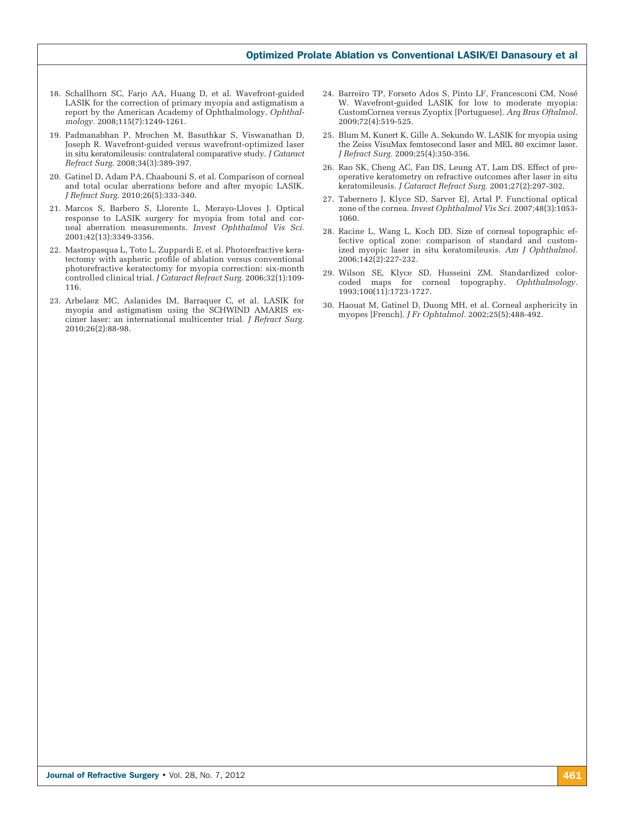#### Optimized Prolate Ablation vs Conventional LASIK/El Danasoury et al

- 18. Schallhorn SC, Farjo AA, Huang D, et al. Wavefront-guided LASIK for the correction of primary myopia and astigmatism a report by the American Academy of Ophthalmology. *Ophthalmology.* 2008;115(7):1249-1261.
- 19. Padmanabhan P, Mrochen M, Basuthkar S, Viswanathan D, Joseph R. Wavefront-guided versus wavefront-optimized laser in situ keratomileusis: contralateral comparative study. *J Cataract Refract Surg.* 2008;34(3):389-397.
- 20. Gatinel D, Adam PA, Chaabouni S, et al. Comparison of corneal and total ocular aberrations before and after myopic LASIK. *J Refract Surg.* 2010;26(5):333-340.
- 21. Marcos S, Barbero S, Llorente L, Merayo-Lloves J. Optical response to LASIK surgery for myopia from total and corneal aberration measurements. *Invest Ophthalmol Vis Sci.* 2001;42(13):3349-3356.
- 22. Mastropasqua L, Toto L, Zuppardi E, et al. Photorefractive keratectomy with aspheric profile of ablation versus conventional photorefractive keratectomy for myopia correction: six-month controlled clinical trial. *J Cataract Refract Surg.* 2006;32(1):109- 116.
- 23. Arbelaez MC, Aslanides IM, Barraquer C, et al. LASIK for myopia and astigmatism using the SCHWIND AMARIS excimer laser: an international multicenter trial. *J Refract Surg.* 2010;26(2):88-98.
- 24. Barreiro TP, Forseto Ados S, Pinto LF, Francesconi CM, Nosé W. Wavefront-guided LASIK for low to moderate myopia: CustomCornea versus Zyoptix [Portuguese]. *Arq Bras Oftalmol.*  2009;72(4):519-525.
- 25. Blum M, Kunert K, Gille A, Sekundo W. LASIK for myopia using the Zeiss VisuMax femtosecond laser and MEL 80 excimer laser. *J Refract Surg.* 2009;25(4):350-356.
- 26. Rao SK, Cheng AC, Fan DS, Leung AT, Lam DS. Effect of preoperative keratometry on refractive outcomes after laser in situ keratomileusis. *J Cataract Refract Surg.* 2001;27(2):297-302.
- 27. Tabernero J, Klyce SD, Sarver EJ, Artal P. Functional optical zone of the cornea. *Invest Ophthalmol Vis Sci.* 2007;48(3):1053- 1060.
- 28. Racine L, Wang L, Koch DD. Size of corneal topographic effective optical zone: comparison of standard and customized myopic laser in situ keratomileusis. *Am J Ophthalmol.* 2006;142(2):227-232.
- 29. Wilson SE, Klyce SD, Husseini ZM. Standardized colorcoded maps for corneal topography. *Ophthalmology.* 1993;100(11):1723-1727.
- 30. Haouat M, Gatinel D, Duong MH, et al. Corneal asphericity in myopes [French]. *J Fr Ophtalmol.* 2002;25(5):488-492.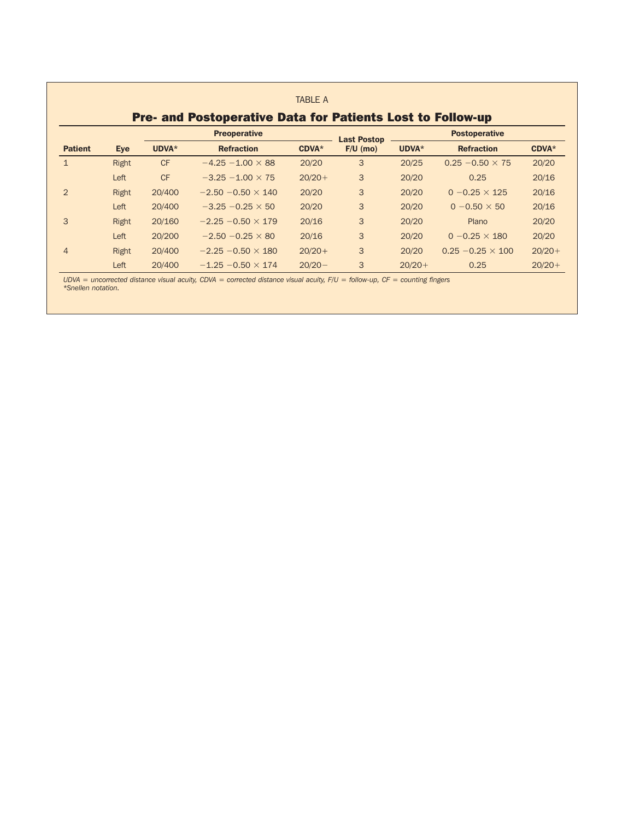|                |       |           | <b>Preoperative</b>       |           | <b>Last Postop</b> |          | <b>Postoperative</b>     |               |
|----------------|-------|-----------|---------------------------|-----------|--------------------|----------|--------------------------|---------------|
| <b>Patient</b> | Eye   | UDVA*     | <b>Refraction</b>         | CDVA*     | $F/U$ (mo)         | UDVA*    | <b>Refraction</b>        | <b>CDVA</b> * |
| $\mathbf{1}$   | Right | <b>CF</b> | $-4.25 - 1.00 \times 88$  | 20/20     | 3                  | 20/25    | $0.25 - 0.50 \times 75$  | 20/20         |
|                | Left  | <b>CF</b> | $-3.25 - 1.00 \times 75$  | $20/20+$  | 3                  | 20/20    | 0.25                     | 20/16         |
| $\mathcal{P}$  | Right | 20/400    | $-2.50 - 0.50 \times 140$ | 20/20     | 3                  | 20/20    | $0 - 0.25 \times 125$    | 20/16         |
|                | Left  | 20/400    | $-3.25 - 0.25 \times 50$  | 20/20     | 3                  | 20/20    | $0 - 0.50 \times 50$     | 20/16         |
| 3              | Right | 20/160    | $-2.25 - 0.50 \times 179$ | 20/16     | 3                  | 20/20    | Plano                    | 20/20         |
|                | Left  | 20/200    | $-2.50 - 0.25 \times 80$  | 20/16     | 3                  | 20/20    | $0 - 0.25 \times 180$    | 20/20         |
| $\overline{4}$ | Right | 20/400    | $-2.25 - 0.50 \times 180$ | $20/20+$  | 3                  | 20/20    | $0.25 - 0.25 \times 100$ | $20/20+$      |
|                | Left  | 20/400    | $-1.25 - 0.50 \times 174$ | $20/20 -$ | 3                  | $20/20+$ | 0.25                     | $20/20+$      |

*UDVA = uncorrected distance visual acuity, CDVA = corrected distance visual acuity, F/U = follow-up, CF = counting fingers \*Snellen notation.*